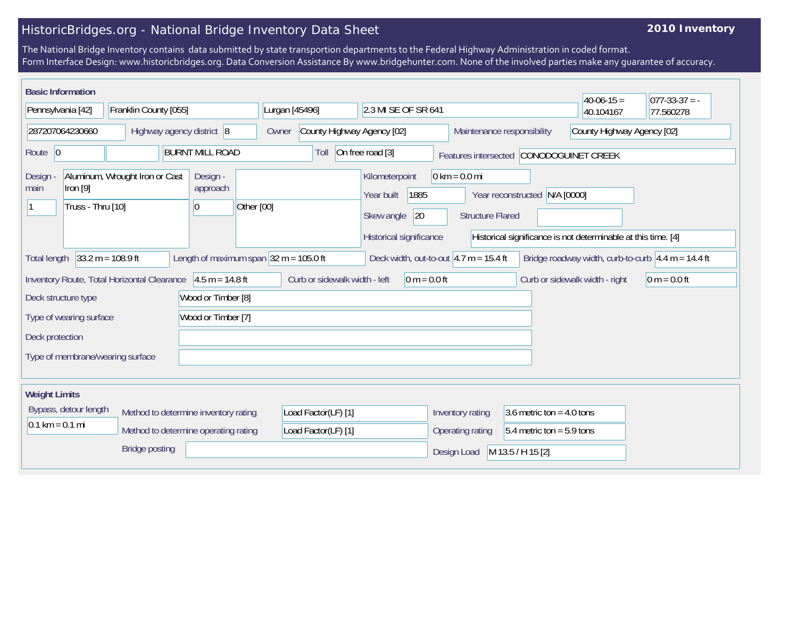## HistoricBridges.org - National Bridge Inventory Data Sheet

## **2010 Inventory**

The National Bridge Inventory contains data submitted by state transportion departments to the Federal Highway Administration in coded format. Form Interface Design: www.historicbridges.org. Data Conversion Assistance By www.bridgehunter.com. None of the involved parties make any guarantee of accuracy.

| <b>Basic Information</b>          |                                 |                                             |                                                            |            |                |                               |                                                           |                |                                 |                         |                             |            | $40-06-15 =$                                                  | $ 077-33-37  = -$                                           |
|-----------------------------------|---------------------------------|---------------------------------------------|------------------------------------------------------------|------------|----------------|-------------------------------|-----------------------------------------------------------|----------------|---------------------------------|-------------------------|-----------------------------|------------|---------------------------------------------------------------|-------------------------------------------------------------|
| Pennsylvania [42]                 |                                 | Franklin County [055]                       |                                                            |            | Lurgan [45496] |                               | 2.3 MI SE OF SR 641                                       |                |                                 |                         |                             |            | 40.104167                                                     | 77.560278                                                   |
|                                   | 287207064230660                 |                                             | Highway agency district 8                                  |            | Owner          |                               | County Highway Agency [02]                                |                |                                 |                         | Maintenance responsibility  |            | County Highway Agency [02]                                    |                                                             |
| Route $ 0$                        |                                 |                                             | <b>BURNT MILL ROAD</b>                                     |            |                | Toll                          | On free road [3]                                          |                |                                 |                         |                             |            | Features intersected CONODOGUINET CREEK                       |                                                             |
| Design<br>main                    | Iron $[9]$<br>Truss - Thru [10] | Aluminum, Wrought Iron or Cast              | Design -<br>approach<br>10                                 | Other [00] |                |                               | Kilometerpoint<br>Year built<br>Skew angle                | 1885<br>20     | $0 \text{ km} = 0.0 \text{ mi}$ | <b>Structure Flared</b> | Year reconstructed          | N/A [0000] |                                                               |                                                             |
|                                   |                                 |                                             |                                                            |            |                |                               | Historical significance                                   |                |                                 |                         |                             |            | Historical significance is not determinable at this time. [4] |                                                             |
| <b>Total length</b>               |                                 | $33.2 m = 108.9 ft$                         | Length of maximum span $ 32 \text{ m} = 105.0 \text{ ft} $ |            |                |                               | Deck width, out-to-out $ 4.7 \text{ m} = 15.4 \text{ ft}$ |                |                                 |                         |                             |            |                                                               | Bridge roadway width, curb-to-curb $\sqrt{4.4}$ m = 14.4 ft |
|                                   |                                 | Inventory Route, Total Horizontal Clearance | $4.5 m = 14.8 ft$                                          |            |                | Curb or sidewalk width - left |                                                           | $0 m = 0.0 ft$ |                                 |                         |                             |            | Curb or sidewalk width - right                                | $0 m = 0.0 ft$                                              |
| Deck structure type               |                                 |                                             | Wood or Timber [8]                                         |            |                |                               |                                                           |                |                                 |                         |                             |            |                                                               |                                                             |
|                                   | Type of wearing surface         |                                             | Wood or Timber [7]                                         |            |                |                               |                                                           |                |                                 |                         |                             |            |                                                               |                                                             |
| Deck protection                   |                                 |                                             |                                                            |            |                |                               |                                                           |                |                                 |                         |                             |            |                                                               |                                                             |
|                                   |                                 | Type of membrane/wearing surface            |                                                            |            |                |                               |                                                           |                |                                 |                         |                             |            |                                                               |                                                             |
|                                   |                                 |                                             |                                                            |            |                |                               |                                                           |                |                                 |                         |                             |            |                                                               |                                                             |
| <b>Weight Limits</b>              |                                 |                                             |                                                            |            |                |                               |                                                           |                |                                 |                         |                             |            |                                                               |                                                             |
|                                   | Bypass, detour length           |                                             | Method to determine inventory rating                       |            |                | Load Factor(LF) [1]           |                                                           |                | Inventory rating                |                         | 3.6 metric ton = $4.0$ tons |            |                                                               |                                                             |
| $0.1 \text{ km} = 0.1 \text{ mi}$ |                                 |                                             | Method to determine operating rating                       |            |                | Load Factor(LF) [1]           |                                                           |                | Operating rating                |                         | $5.4$ metric ton = 5.9 tons |            |                                                               |                                                             |
|                                   |                                 | <b>Bridge posting</b>                       |                                                            |            |                |                               |                                                           |                | Design Load                     |                         | M 13.5 / H 15 [2]           |            |                                                               |                                                             |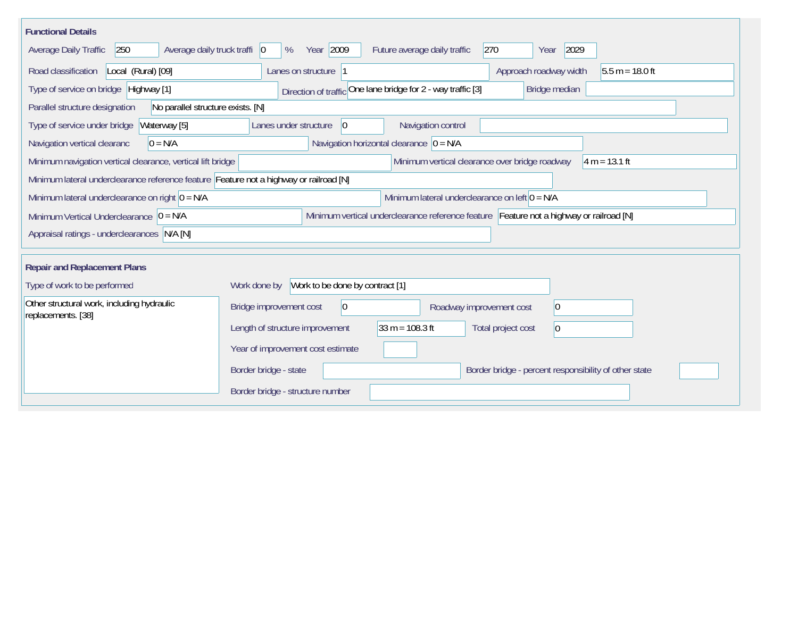| <b>Functional Details</b>                                                              |                                                                                           |
|----------------------------------------------------------------------------------------|-------------------------------------------------------------------------------------------|
| Average daily truck traffi   0<br>Average Daily Traffic<br>250                         | Year 2009<br>Future average daily traffic<br>270<br>2029<br>%<br>Year                     |
| Road classification<br>Local (Rural) [09]                                              | Lanes on structure  1<br>Approach roadway width<br>$5.5 m = 18.0 ft$                      |
| Type of service on bridge Highway [1]                                                  | Direction of traffic One lane bridge for 2 - way traffic [3]<br>Bridge median             |
| Parallel structure designation<br>No parallel structure exists. [N]                    |                                                                                           |
| Type of service under bridge<br>Waterway [5]                                           | Navigation control<br>Lanes under structure<br>$ 0\rangle$                                |
| Navigation vertical clearanc<br>$0 = N/A$                                              | Navigation horizontal clearance $ 0 = N/A$                                                |
| Minimum navigation vertical clearance, vertical lift bridge                            | Minimum vertical clearance over bridge roadway<br>$4 m = 13.1 ft$                         |
| Minimum lateral underclearance reference feature Feature not a highway or railroad [N] |                                                                                           |
| Minimum lateral underclearance on right $0 = N/A$                                      | Minimum lateral underclearance on left $0 = N/A$                                          |
| Minimum Vertical Underclearance $ 0 = N/A$                                             | Minimum vertical underclearance reference feature Feature not a highway or railroad [N]   |
| Appraisal ratings - underclearances N/A [N]                                            |                                                                                           |
|                                                                                        |                                                                                           |
| <b>Repair and Replacement Plans</b>                                                    |                                                                                           |
| Type of work to be performed                                                           | Work to be done by contract [1]<br>Work done by                                           |
| Other structural work, including hydraulic<br>replacements. [38]                       | Bridge improvement cost<br>$ 0\rangle$<br>$ 0\rangle$<br>Roadway improvement cost         |
|                                                                                        | $33 m = 108.3 ft$<br>Length of structure improvement<br>Total project cost<br>$ 0\rangle$ |
|                                                                                        | Year of improvement cost estimate                                                         |
|                                                                                        | Border bridge - state<br>Border bridge - percent responsibility of other state            |
|                                                                                        | Border bridge - structure number                                                          |